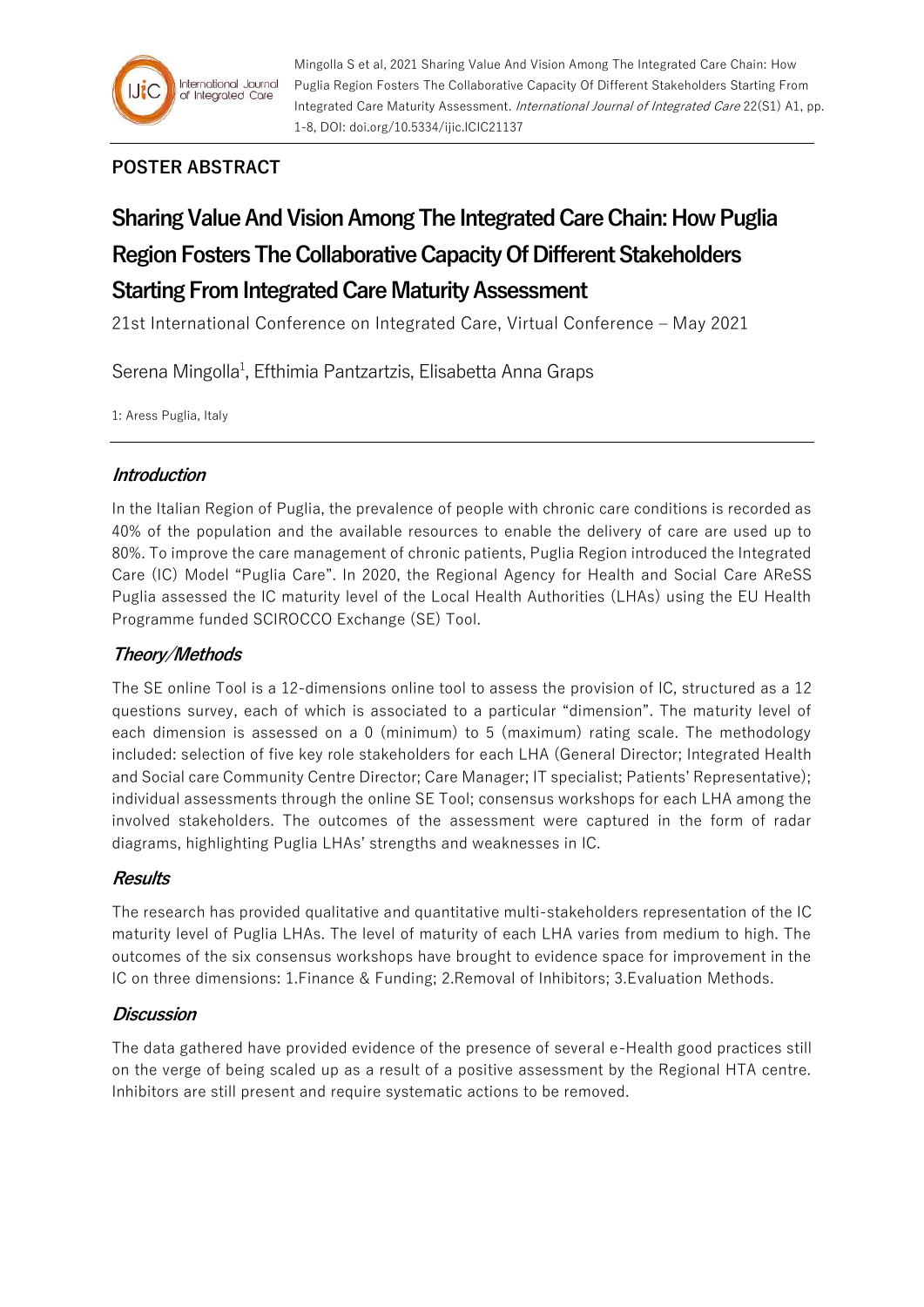

## **POSTER ABSTRACT**

# **Sharing Value And Vision Among The Integrated Care Chain: How Puglia Region Fosters The Collaborative Capacity Of Different Stakeholders Starting From Integrated Care Maturity Assessment**

21st International Conference on Integrated Care, Virtual Conference – May 2021

Serena Mingolla<sup>1</sup>, Efthimia Pantzartzis, Elisabetta Anna Graps

1: Aress Puglia, Italy

## **Introduction**

In the Italian Region of Puglia, the prevalence of people with chronic care conditions is recorded as 40% of the population and the available resources to enable the delivery of care are used up to 80%. To improve the care management of chronic patients, Puglia Region introduced the Integrated Care (IC) Model "Puglia Care". In 2020, the Regional Agency for Health and Social Care AReSS Puglia assessed the IC maturity level of the Local Health Authorities (LHAs) using the EU Health Programme funded SCIROCCO Exchange (SE) Tool.

## **Theory/Methods**

The SE online Tool is a 12-dimensions online tool to assess the provision of IC, structured as a 12 questions survey, each of which is associated to a particular "dimension". The maturity level of each dimension is assessed on a 0 (minimum) to 5 (maximum) rating scale. The methodology included: selection of five key role stakeholders for each LHA (General Director; Integrated Health and Social care Community Centre Director; Care Manager; IT specialist; Patients' Representative); individual assessments through the online SE Tool; consensus workshops for each LHA among the involved stakeholders. The outcomes of the assessment were captured in the form of radar diagrams, highlighting Puglia LHAs' strengths and weaknesses in IC.

#### **Results**

The research has provided qualitative and quantitative multi-stakeholders representation of the IC maturity level of Puglia LHAs. The level of maturity of each LHA varies from medium to high. The outcomes of the six consensus workshops have brought to evidence space for improvement in the IC on three dimensions: 1.Finance & Funding; 2.Removal of Inhibitors; 3.Evaluation Methods.

#### **Discussion**

The data gathered have provided evidence of the presence of several e-Health good practices still on the verge of being scaled up as a result of a positive assessment by the Regional HTA centre. Inhibitors are still present and require systematic actions to be removed.